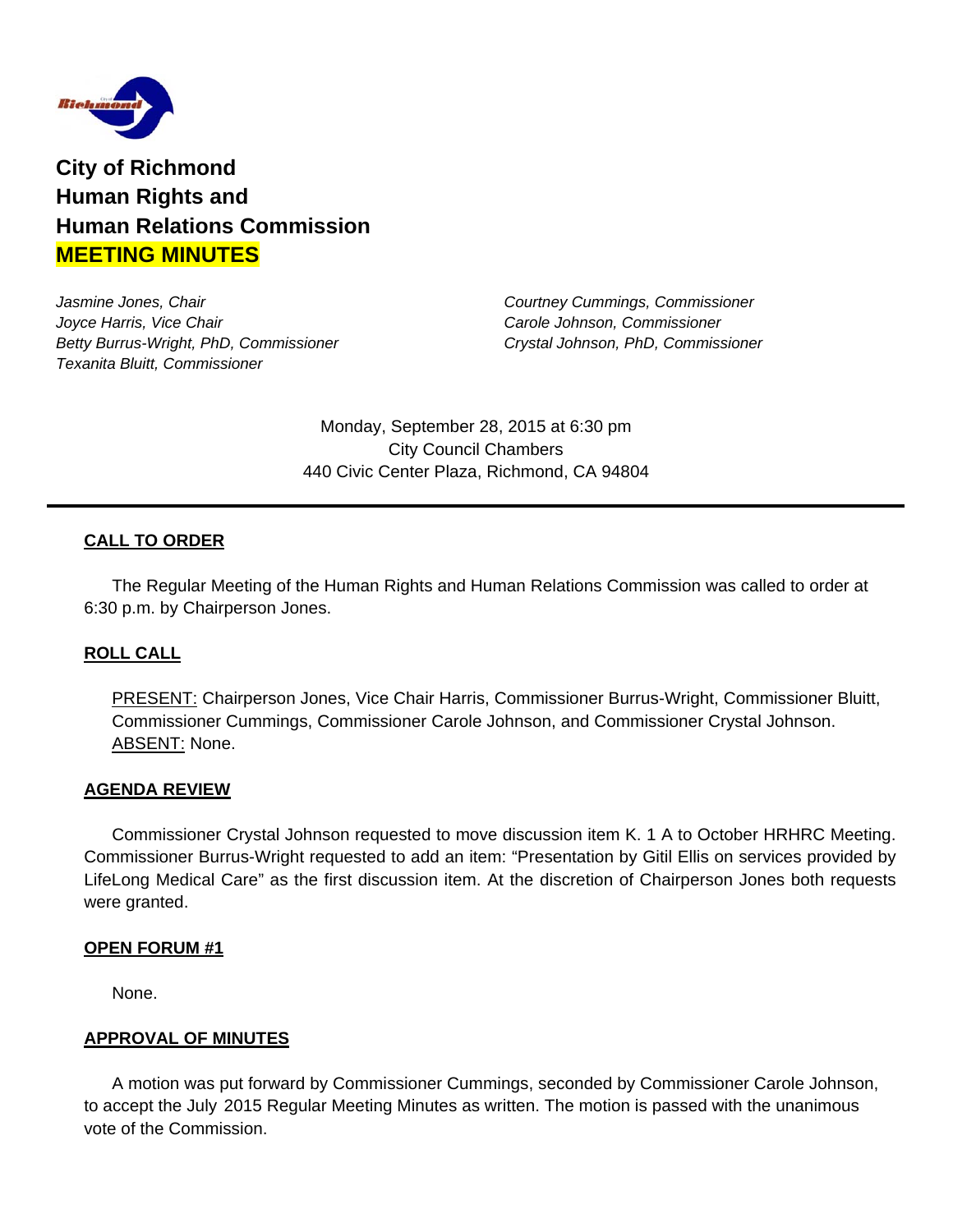

**City of Richmond Human Rights and Human Relations Commission MEETING MINUTES**

*Jasmine Jones, Chair Courtney Cummings, Commissioner Joyce Harris, Vice Chair Carole Johnson, Commissioner Betty Burrus-Wright, PhD, Commissioner Crystal Johnson, PhD, Commissioner Texanita Bluitt, Commissioner* 

Monday, September 28, 2015 at 6:30 pm City Council Chambers 440 Civic Center Plaza, Richmond, CA 94804

# **CALL TO ORDER**

The Regular Meeting of the Human Rights and Human Relations Commission was called to order at 6:30 p.m. by Chairperson Jones.

# **ROLL CALL**

PRESENT: Chairperson Jones, Vice Chair Harris, Commissioner Burrus-Wright, Commissioner Bluitt, Commissioner Cummings, Commissioner Carole Johnson, and Commissioner Crystal Johnson. ABSENT: None.

## **AGENDA REVIEW**

Commissioner Crystal Johnson requested to move discussion item K. 1 A to October HRHRC Meeting. Commissioner Burrus-Wright requested to add an item: "Presentation by Gitil Ellis on services provided by LifeLong Medical Care" as the first discussion item. At the discretion of Chairperson Jones both requests were granted.

## **OPEN FORUM #1**

None.

## **APPROVAL OF MINUTES**

A motion was put forward by Commissioner Cummings, seconded by Commissioner Carole Johnson, to accept the July 2015 Regular Meeting Minutes as written. The motion is passed with the unanimous vote of the Commission.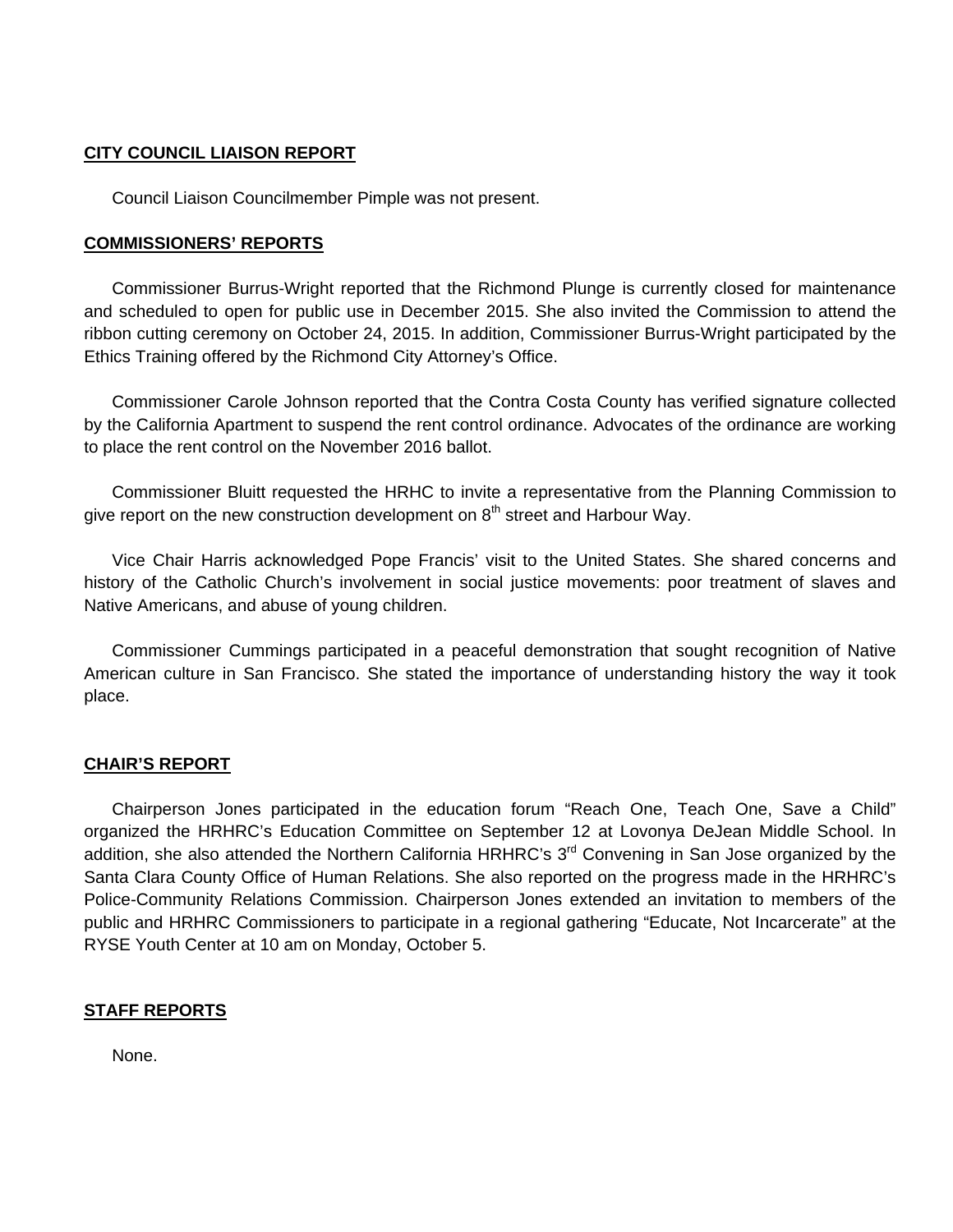## **CITY COUNCIL LIAISON REPORT**

Council Liaison Councilmember Pimple was not present.

## **COMMISSIONERS' REPORTS**

 Commissioner Burrus-Wright reported that the Richmond Plunge is currently closed for maintenance and scheduled to open for public use in December 2015. She also invited the Commission to attend the ribbon cutting ceremony on October 24, 2015. In addition, Commissioner Burrus-Wright participated by the Ethics Training offered by the Richmond City Attorney's Office.

 Commissioner Carole Johnson reported that the Contra Costa County has verified signature collected by the California Apartment to suspend the rent control ordinance. Advocates of the ordinance are working to place the rent control on the November 2016 ballot.

 Commissioner Bluitt requested the HRHC to invite a representative from the Planning Commission to give report on the new construction development on  $8<sup>th</sup>$  street and Harbour Way.

 Vice Chair Harris acknowledged Pope Francis' visit to the United States. She shared concerns and history of the Catholic Church's involvement in social justice movements: poor treatment of slaves and Native Americans, and abuse of young children.

 Commissioner Cummings participated in a peaceful demonstration that sought recognition of Native American culture in San Francisco. She stated the importance of understanding history the way it took place.

## **CHAIR'S REPORT**

Chairperson Jones participated in the education forum "Reach One, Teach One, Save a Child" organized the HRHRC's Education Committee on September 12 at Lovonya DeJean Middle School. In addition, she also attended the Northern California HRHRC's 3<sup>rd</sup> Convening in San Jose organized by the Santa Clara County Office of Human Relations. She also reported on the progress made in the HRHRC's Police-Community Relations Commission. Chairperson Jones extended an invitation to members of the public and HRHRC Commissioners to participate in a regional gathering "Educate, Not Incarcerate" at the RYSE Youth Center at 10 am on Monday, October 5.

## **STAFF REPORTS**

None.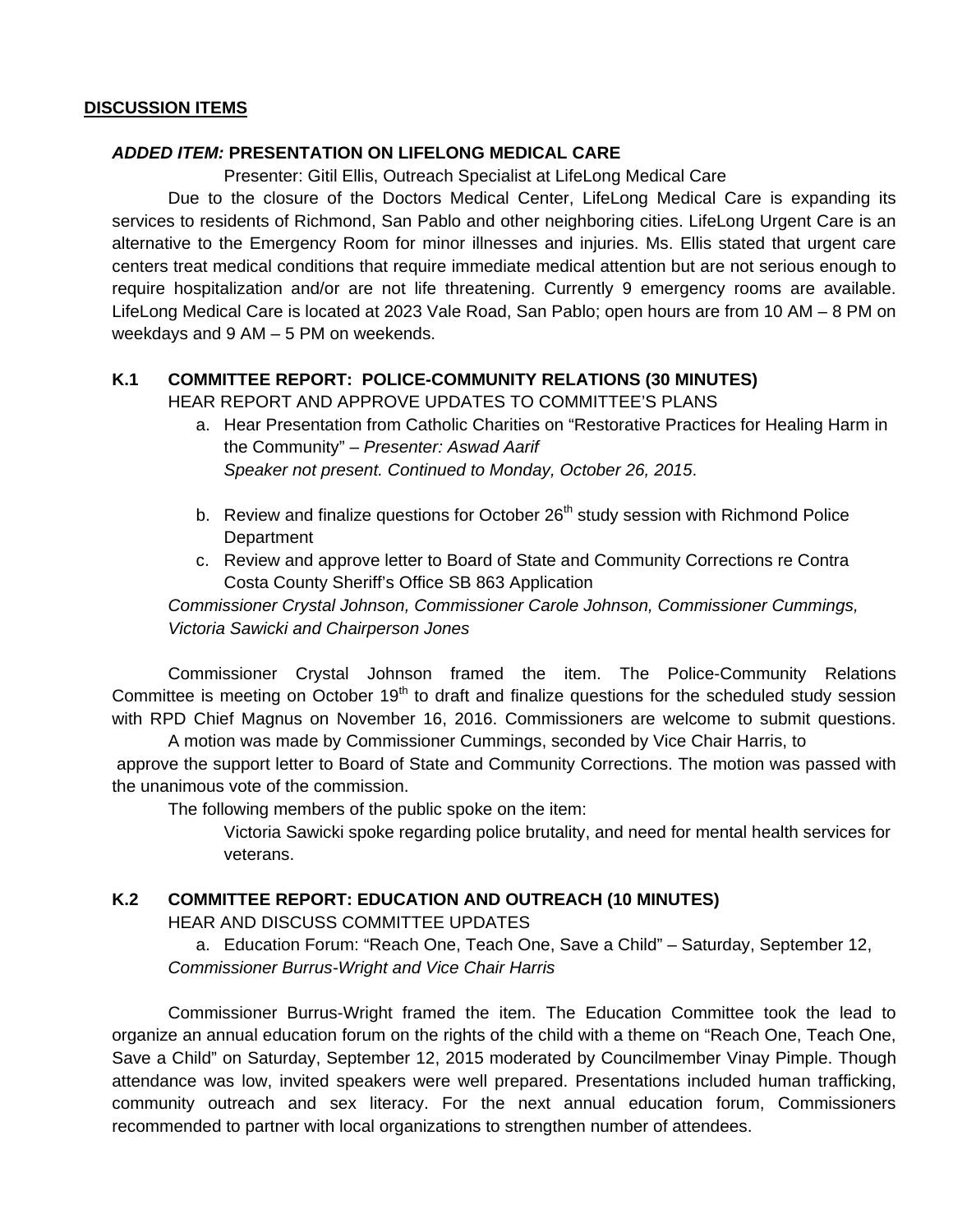## **DISCUSSION ITEMS**

## *ADDED ITEM:* **PRESENTATION ON LIFELONG MEDICAL CARE**

Presenter: Gitil Ellis, Outreach Specialist at LifeLong Medical Care

 Due to the closure of the Doctors Medical Center, LifeLong Medical Care is expanding its services to residents of Richmond, San Pablo and other neighboring cities. LifeLong Urgent Care is an alternative to the Emergency Room for minor illnesses and injuries. Ms. Ellis stated that urgent care centers treat medical conditions that require immediate medical attention but are not serious enough to require hospitalization and/or are not life threatening. Currently 9 emergency rooms are available. LifeLong Medical Care is located at 2023 Vale Road, San Pablo; open hours are from 10 AM – 8 PM on weekdays and 9 AM – 5 PM on weekends.

# **K.1 COMMITTEE REPORT: POLICE-COMMUNITY RELATIONS (30 MINUTES)**

HEAR REPORT AND APPROVE UPDATES TO COMMITTEE'S PLANS

- a. Hear Presentation from Catholic Charities on "Restorative Practices for Healing Harm in the Community" – *Presenter: Aswad Aarif Speaker not present. Continued to Monday, October 26, 2015*.
- b. Review and finalize questions for October 26<sup>th</sup> study session with Richmond Police **Department**
- c. Review and approve letter to Board of State and Community Corrections re Contra Costa County Sheriff's Office SB 863 Application

*Commissioner Crystal Johnson, Commissioner Carole Johnson, Commissioner Cummings, Victoria Sawicki and Chairperson Jones* 

 Commissioner Crystal Johnson framed the item. The Police-Community Relations Committee is meeting on October 19<sup>th</sup> to draft and finalize questions for the scheduled study session with RPD Chief Magnus on November 16, 2016. Commissioners are welcome to submit questions.

 A motion was made by Commissioner Cummings, seconded by Vice Chair Harris, to approve the support letter to Board of State and Community Corrections. The motion was passed with the unanimous vote of the commission.

The following members of the public spoke on the item:

 Victoria Sawicki spoke regarding police brutality, and need for mental health services for veterans.

# **K.2 COMMITTEE REPORT: EDUCATION AND OUTREACH (10 MINUTES)**

HEAR AND DISCUSS COMMITTEE UPDATES

a. Education Forum: "Reach One, Teach One, Save a Child" – Saturday, September 12, *Commissioner Burrus-Wright and Vice Chair Harris* 

Commissioner Burrus-Wright framed the item. The Education Committee took the lead to organize an annual education forum on the rights of the child with a theme on "Reach One, Teach One, Save a Child" on Saturday, September 12, 2015 moderated by Councilmember Vinay Pimple. Though attendance was low, invited speakers were well prepared. Presentations included human trafficking, community outreach and sex literacy. For the next annual education forum, Commissioners recommended to partner with local organizations to strengthen number of attendees.